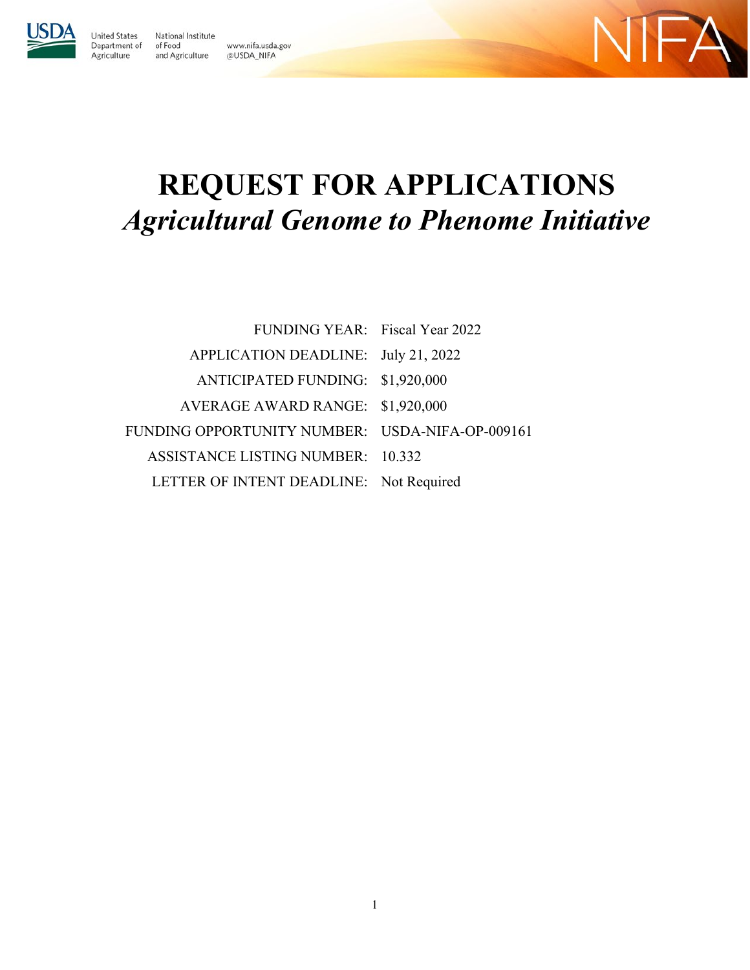

United States

Agriculture

National Institute Department of of Food www.nifa.usda.gov and Agriculture @USDA\_NIFA



# **REQUEST FOR APPLICATIONS**  *Agricultural Genome to Phenome Initiative*

| FUNDING YEAR: Fiscal Year 2022                  |  |
|-------------------------------------------------|--|
| APPLICATION DEADLINE: July 21, 2022             |  |
| ANTICIPATED FUNDING: \$1,920,000                |  |
| AVERAGE AWARD RANGE: \$1,920,000                |  |
| FUNDING OPPORTUNITY NUMBER: USDA-NIFA-OP-009161 |  |
| ASSISTANCE LISTING NUMBER: 10.332               |  |
| LETTER OF INTENT DEADLINE: Not Required         |  |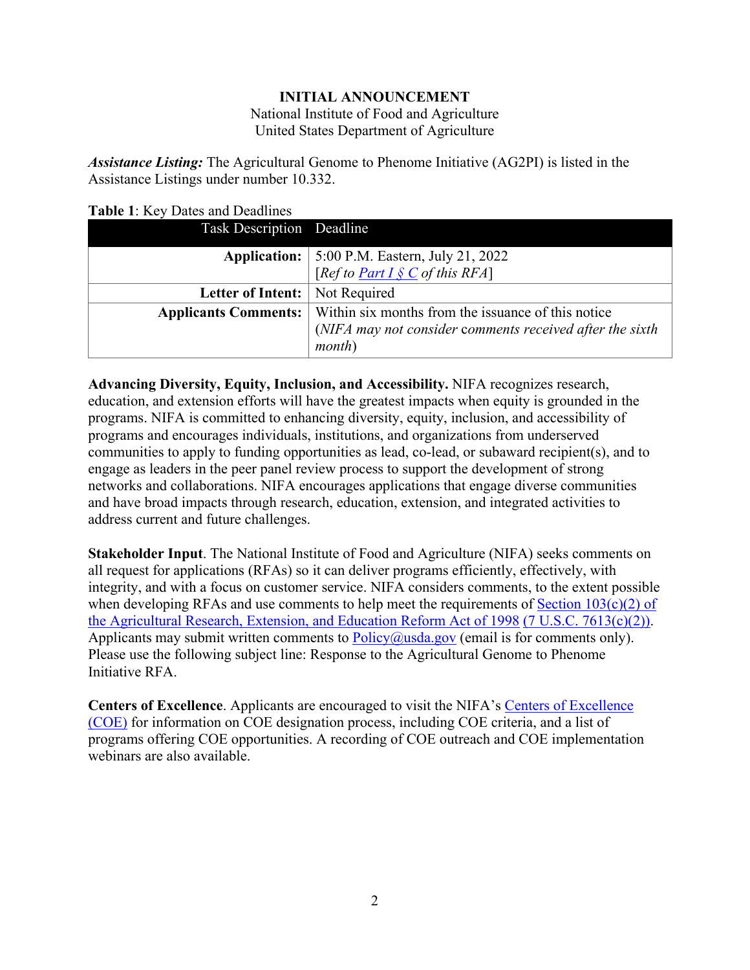#### **INITIAL ANNOUNCEMENT**

National Institute of Food and Agriculture United States Department of Agriculture

*Assistance Listing:* The Agricultural Genome to Phenome Initiative (AG2PI) is listed in the Assistance Listings under number 10.332.

| Task Description Deadline        |                                                                                                         |
|----------------------------------|---------------------------------------------------------------------------------------------------------|
|                                  |                                                                                                         |
|                                  | <b>Application:</b> 5:00 P.M. Eastern, July 21, 2022<br>[ <i>Ref to <u>Part I § C</u> of this RFA</i> ] |
| Letter of Intent:   Not Required |                                                                                                         |
|                                  | <b>Applicants Comments:</b> Within six months from the issuance of this notice                          |
|                                  | (NIFA may not consider comments received after the sixth                                                |
|                                  | <i>month</i> )                                                                                          |

#### <span id="page-1-0"></span>**Table 1**: Key Dates and Deadlines

**Advancing Diversity, Equity, Inclusion, and Accessibility.** NIFA recognizes research, education, and extension efforts will have the greatest impacts when equity is grounded in the programs. NIFA is committed to enhancing diversity, equity, inclusion, and accessibility of programs and encourages individuals, institutions, and organizations from underserved communities to apply to funding opportunities as lead, co-lead, or subaward recipient(s), and to engage as leaders in the peer panel review process to support the development of strong networks and collaborations. NIFA encourages applications that engage diverse communities and have broad impacts through research, education, extension, and integrated activities to address current and future challenges.

**Stakeholder Input**. The National Institute of Food and Agriculture (NIFA) seeks comments on all request for applications (RFAs) so it can deliver programs efficiently, effectively, with integrity, and with a focus on customer service. NIFA considers comments, to the extent possible when developing RFAs and use comments to help meet the requirements of Section  $103(c)(2)$  of [the Agricultural Research, Extension, and Education Reform Act of 1998](https://nifa.usda.gov/resource/agricultural-research-extension-and-education-reform-act-1998) [\(7 U.S.C. 7613\(c\)\(2\)\).](https://uscode.house.gov/view.xhtml?req=(title:7%20section:7613%20edition:prelim)%20OR%20(granuleid:USC-prelim-title7-section7613)&f=treesort&edition=prelim&num=0&jumpTo=true) Applicants may submit written comments to  $Policy@usda.gov$  (email is for comments only). Please use the following subject line: Response to the Agricultural Genome to Phenome Initiative RFA.

**Centers of Excellence**. Applicants are encouraged to visit the NIFA's [Centers of Excellence](https://nifa.usda.gov/centers-excellence)  [\(COE\)](https://nifa.usda.gov/centers-excellence) for information on COE designation process, including COE criteria, and a list of programs offering COE opportunities. A recording of COE outreach and COE implementation webinars are also available.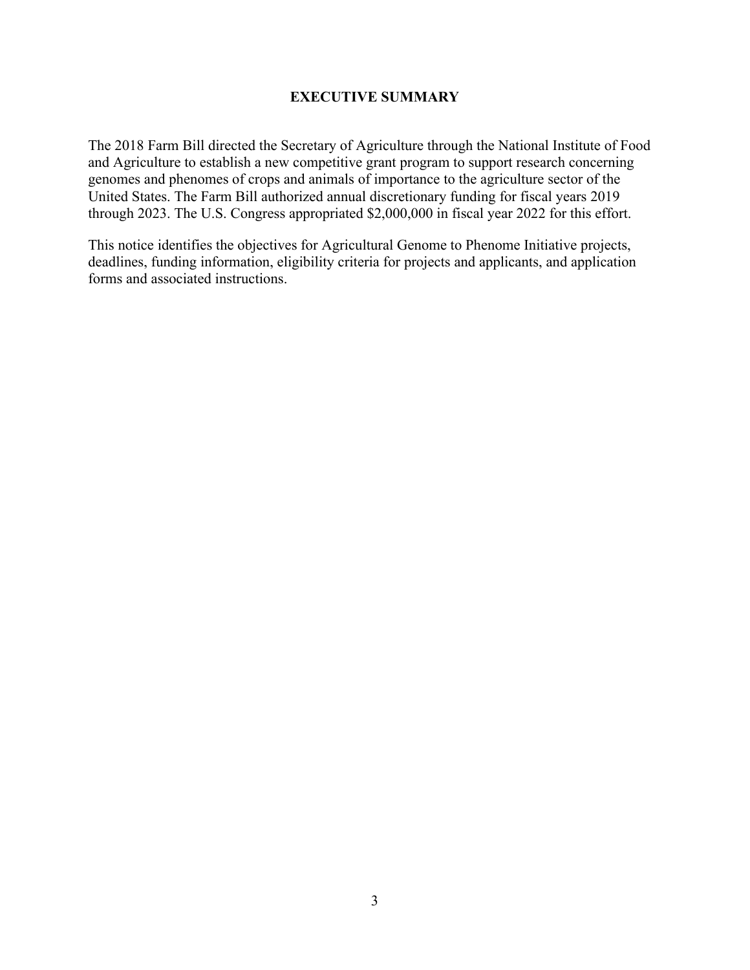#### **EXECUTIVE SUMMARY**

<span id="page-2-0"></span>The 2018 Farm Bill directed the Secretary of Agriculture through the National Institute of Food and Agriculture to establish a new competitive grant program to support research concerning genomes and phenomes of crops and animals of importance to the agriculture sector of the United States. The Farm Bill authorized annual discretionary funding for fiscal years 2019 through 2023. The U.S. Congress appropriated \$2,000,000 in fiscal year 2022 for this effort.

This notice identifies the objectives for Agricultural Genome to Phenome Initiative projects, deadlines, funding information, eligibility criteria for projects and applicants, and application forms and associated instructions.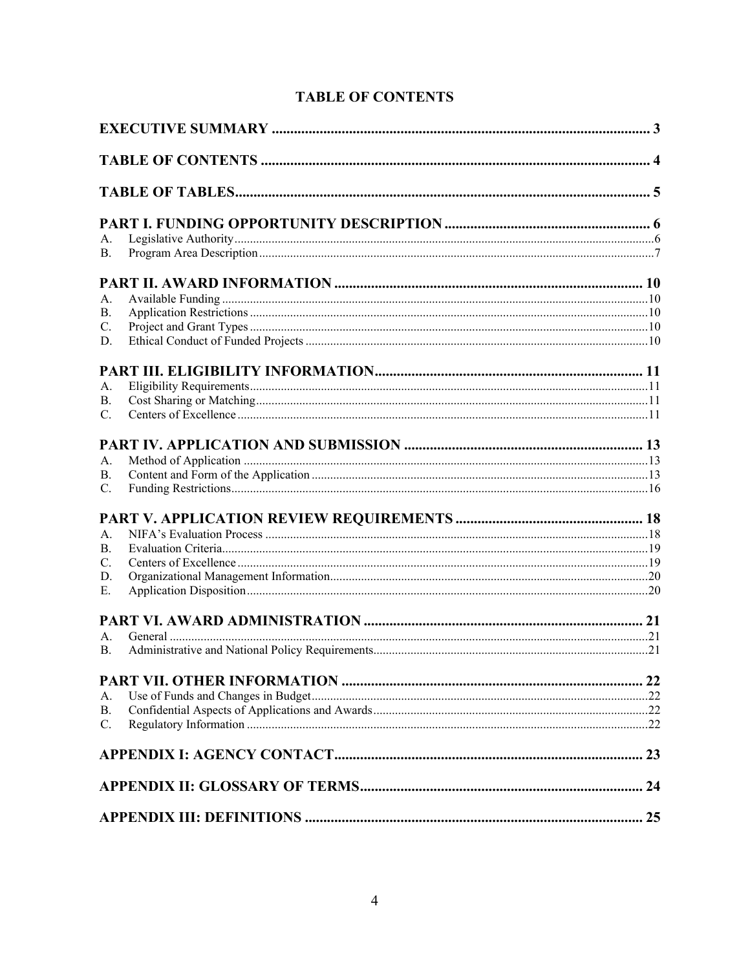<span id="page-3-0"></span>

| A.          |  |
|-------------|--|
| <b>B.</b>   |  |
|             |  |
| A.          |  |
| <b>B.</b>   |  |
| C.          |  |
| D.          |  |
|             |  |
| A.          |  |
| <b>B.</b>   |  |
| $C_{\cdot}$ |  |
|             |  |
|             |  |
| A.          |  |
| <b>B.</b>   |  |
| C.          |  |
|             |  |
| A.          |  |
| <b>B.</b>   |  |
| C.          |  |
| D.          |  |
| Ε.          |  |
|             |  |
|             |  |
| А.          |  |
| <b>B.</b>   |  |
|             |  |
| A.          |  |
| <b>B.</b>   |  |
| C.          |  |
|             |  |
|             |  |
|             |  |
|             |  |

# <span id="page-3-1"></span>**TABLE OF CONTENTS**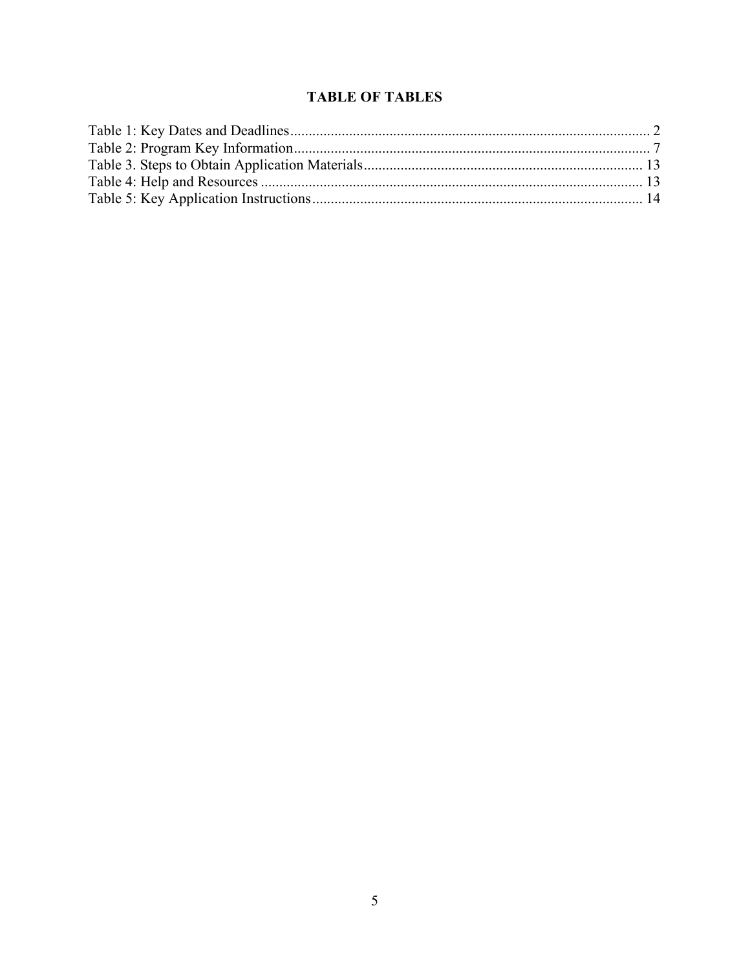# **TABLE OF TABLES**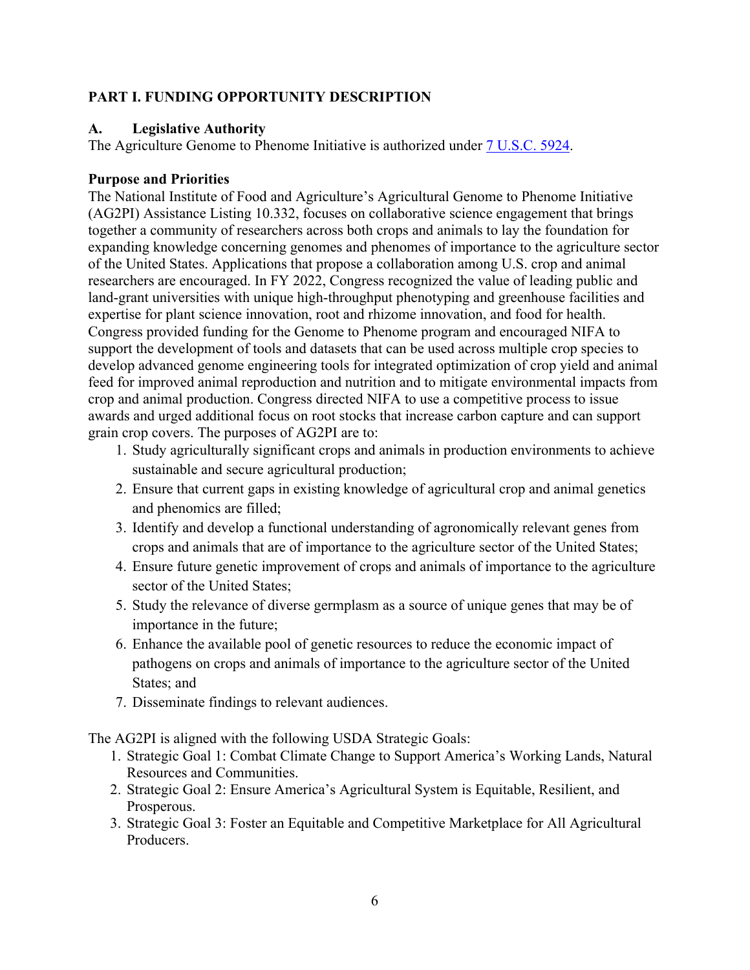#### <span id="page-5-0"></span>**PART I. FUNDING OPPORTUNITY DESCRIPTION**

#### <span id="page-5-1"></span>**A. Legislative Authority**

The Agriculture Genome to Phenome Initiative is authorized under [7 U.S.C. 5924.](https://uscode.house.gov/view.xhtml?req=(title:7%20section:5924%20edition:prelim)%20OR%20(granuleid:USC-prelim-title7-section5924)&f=treesort&edition=prelim&num=0&jumpTo=true)

#### **Purpose and Priorities**

The National Institute of Food and Agriculture's Agricultural Genome to Phenome Initiative (AG2PI) Assistance Listing 10.332, focuses on collaborative science engagement that brings together a community of researchers across both crops and animals to lay the foundation for expanding knowledge concerning genomes and phenomes of importance to the agriculture sector of the United States. Applications that propose a collaboration among U.S. crop and animal researchers are encouraged. In FY 2022, Congress recognized the value of leading public and land-grant universities with unique high-throughput phenotyping and greenhouse facilities and expertise for plant science innovation, root and rhizome innovation, and food for health. Congress provided funding for the Genome to Phenome program and encouraged NIFA to support the development of tools and datasets that can be used across multiple crop species to develop advanced genome engineering tools for integrated optimization of crop yield and animal feed for improved animal reproduction and nutrition and to mitigate environmental impacts from crop and animal production. Congress directed NIFA to use a competitive process to issue awards and urged additional focus on root stocks that increase carbon capture and can support grain crop covers. The purposes of AG2PI are to:

- 1. Study agriculturally significant crops and animals in production environments to achieve sustainable and secure agricultural production;
- 2. Ensure that current gaps in existing knowledge of agricultural crop and animal genetics and phenomics are filled;
- 3. Identify and develop a functional understanding of agronomically relevant genes from crops and animals that are of importance to the agriculture sector of the United States;
- 4. Ensure future genetic improvement of crops and animals of importance to the agriculture sector of the United States;
- 5. Study the relevance of diverse germplasm as a source of unique genes that may be of importance in the future;
- 6. Enhance the available pool of genetic resources to reduce the economic impact of pathogens on crops and animals of importance to the agriculture sector of the United States; and
- 7. Disseminate findings to relevant audiences.

The AG2PI is aligned with the following USDA Strategic Goals:

- 1. Strategic Goal 1: Combat Climate Change to Support America's Working Lands, Natural Resources and Communities.
- 2. Strategic Goal 2: Ensure America's Agricultural System is Equitable, Resilient, and Prosperous.
- 3. Strategic Goal 3: Foster an Equitable and Competitive Marketplace for All Agricultural Producers.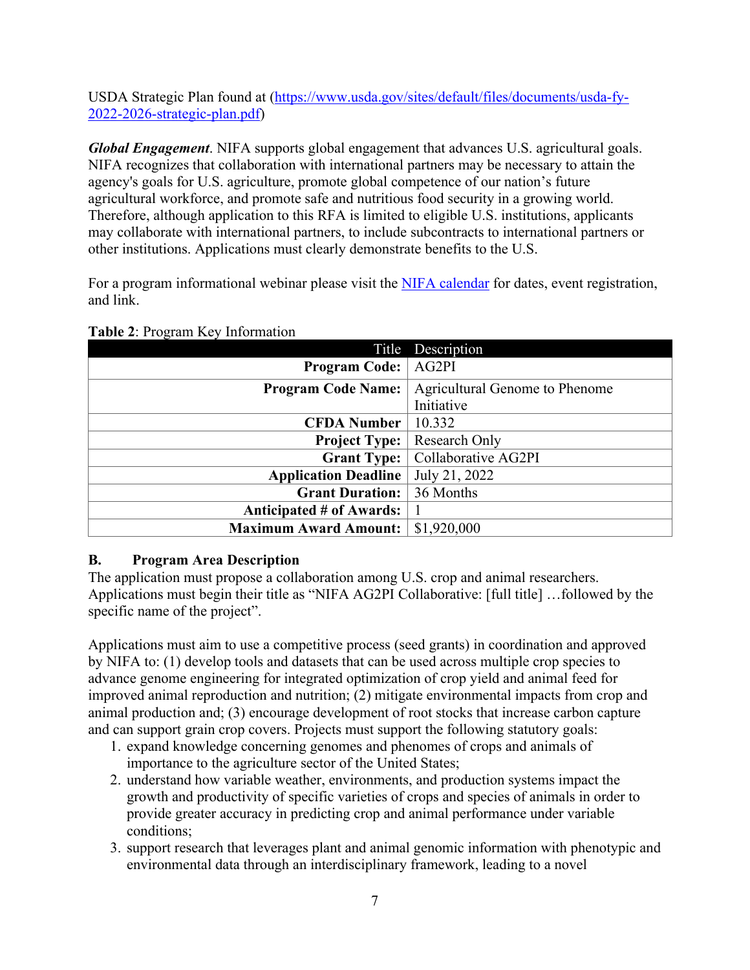USDA Strategic Plan found at [\(https://www.usda.gov/sites/default/files/documents/usda-fy-](https://www.usda.gov/sites/default/files/documents/usda-fy-2022-2026-strategic-plan.pdf)[2022-2026-strategic-plan.pdf\)](https://www.usda.gov/sites/default/files/documents/usda-fy-2022-2026-strategic-plan.pdf)

*Global Engagement*. NIFA supports global engagement that advances U.S. agricultural goals. NIFA recognizes that collaboration with international partners may be necessary to attain the agency's goals for U.S. agriculture, promote global competence of our nation's future agricultural workforce, and promote safe and nutritious food security in a growing world. Therefore, although application to this RFA is limited to eligible U.S. institutions, applicants may collaborate with international partners, to include subcontracts to international partners or other institutions. Applications must clearly demonstrate benefits to the U.S.

For a program informational webinar please visit the [NIFA calendar](https://nifa.usda.gov/calendar) for dates, event registration, and link.

|                                 | Title Description              |
|---------------------------------|--------------------------------|
| <b>Program Code:</b>            | AG2PI                          |
| <b>Program Code Name:</b>       | Agricultural Genome to Phenome |
|                                 | Initiative                     |
| <b>CFDA Number</b>              | 10.332                         |
| <b>Project Type:</b>            | Research Only                  |
| <b>Grant Type:</b>              | Collaborative AG2PI            |
| <b>Application Deadline</b>     | July 21, 2022                  |
| <b>Grant Duration:</b>          | 36 Months                      |
| <b>Anticipated # of Awards:</b> |                                |
| <b>Maximum Award Amount:</b>    | \$1,920,000                    |

#### <span id="page-6-1"></span>**Table 2**: Program Key Information

#### <span id="page-6-0"></span>**B. Program Area Description**

The application must propose a collaboration among U.S. crop and animal researchers. Applications must begin their title as "NIFA AG2PI Collaborative: [full title] …followed by the specific name of the project".

Applications must aim to use a competitive process (seed grants) in coordination and approved by NIFA to: (1) develop tools and datasets that can be used across multiple crop species to advance genome engineering for integrated optimization of crop yield and animal feed for improved animal reproduction and nutrition; (2) mitigate environmental impacts from crop and animal production and; (3) encourage development of root stocks that increase carbon capture and can support grain crop covers. Projects must support the following statutory goals:

- 1. expand knowledge concerning genomes and phenomes of crops and animals of importance to the agriculture sector of the United States;
- 2. understand how variable weather, environments, and production systems impact the growth and productivity of specific varieties of crops and species of animals in order to provide greater accuracy in predicting crop and animal performance under variable conditions;
- 3. support research that leverages plant and animal genomic information with phenotypic and environmental data through an interdisciplinary framework, leading to a novel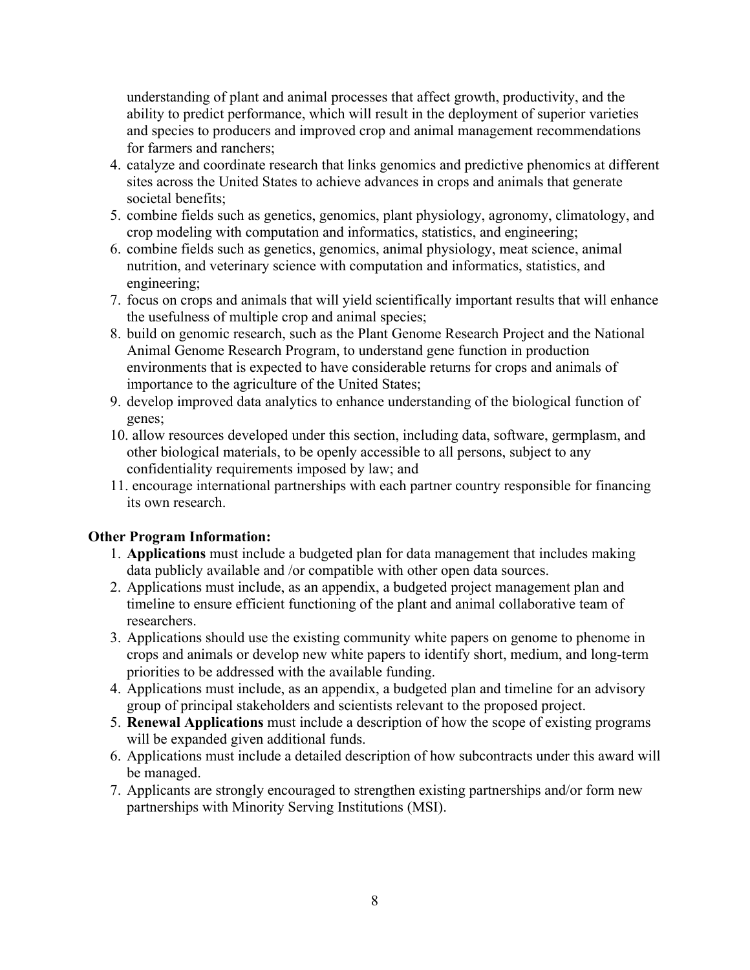understanding of plant and animal processes that affect growth, productivity, and the ability to predict performance, which will result in the deployment of superior varieties and species to producers and improved crop and animal management recommendations for farmers and ranchers;

- 4. catalyze and coordinate research that links genomics and predictive phenomics at different sites across the United States to achieve advances in crops and animals that generate societal benefits;
- 5. combine fields such as genetics, genomics, plant physiology, agronomy, climatology, and crop modeling with computation and informatics, statistics, and engineering;
- 6. combine fields such as genetics, genomics, animal physiology, meat science, animal nutrition, and veterinary science with computation and informatics, statistics, and engineering;
- 7. focus on crops and animals that will yield scientifically important results that will enhance the usefulness of multiple crop and animal species;
- 8. build on genomic research, such as the Plant Genome Research Project and the National Animal Genome Research Program, to understand gene function in production environments that is expected to have considerable returns for crops and animals of importance to the agriculture of the United States;
- 9. develop improved data analytics to enhance understanding of the biological function of genes;
- 10. allow resources developed under this section, including data, software, germplasm, and other biological materials, to be openly accessible to all persons, subject to any confidentiality requirements imposed by law; and
- 11. encourage international partnerships with each partner country responsible for financing its own research.

#### **Other Program Information:**

- 1. **Applications** must include a budgeted plan for data management that includes making data publicly available and /or compatible with other open data sources.
- 2. Applications must include, as an appendix, a budgeted project management plan and timeline to ensure efficient functioning of the plant and animal collaborative team of researchers.
- 3. Applications should use the existing community white papers on genome to phenome in crops and animals or develop new white papers to identify short, medium, and long-term priorities to be addressed with the available funding.
- 4. Applications must include, as an appendix, a budgeted plan and timeline for an advisory group of principal stakeholders and scientists relevant to the proposed project.
- 5. **Renewal Applications** must include a description of how the scope of existing programs will be expanded given additional funds.
- 6. Applications must include a detailed description of how subcontracts under this award will be managed.
- 7. Applicants are strongly encouraged to strengthen existing partnerships and/or form new partnerships with Minority Serving Institutions (MSI).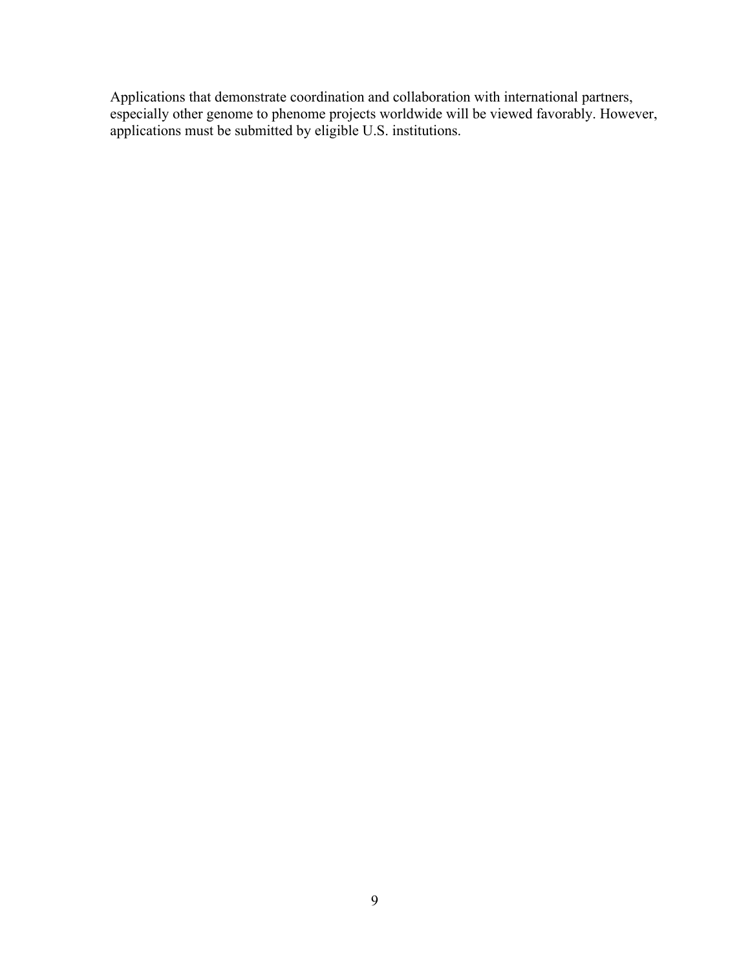Applications that demonstrate coordination and collaboration with international partners, especially other genome to phenome projects worldwide will be viewed favorably. However, applications must be submitted by eligible U.S. institutions.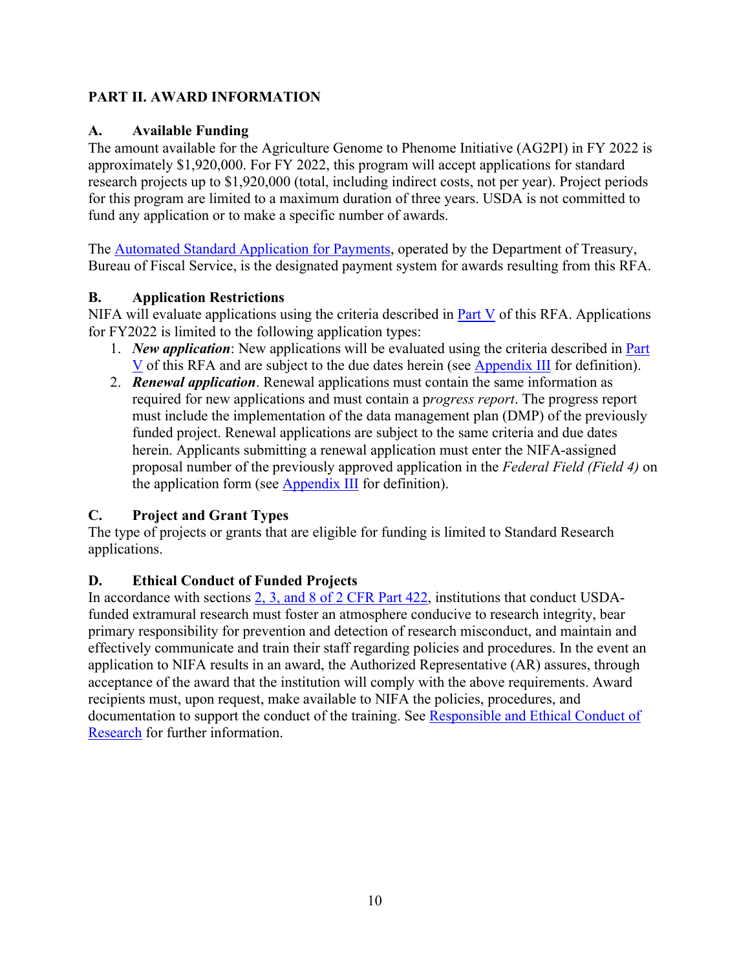# <span id="page-9-0"></span>**PART II. AWARD INFORMATION**

#### <span id="page-9-1"></span>**A. Available Funding**

The amount available for the Agriculture Genome to Phenome Initiative (AG2PI) in FY 2022 is approximately \$1,920,000. For FY 2022, this program will accept applications for standard research projects up to \$1,920,000 (total, including indirect costs, not per year). Project periods for this program are limited to a maximum duration of three years. USDA is not committed to fund any application or to make a specific number of awards.

The [Automated Standard Application for Payments,](https://www.fiscal.treasury.gov/fsservices/gov/pmt/asap/asap_home.htm) operated by the Department of Treasury, Bureau of Fiscal Service, is the designated payment system for awards resulting from this RFA.

## <span id="page-9-2"></span>**B. Application Restrictions**

NIFA will evaluate applications using the criteria described in  $Part V$  of this RFA. Applications for FY2022 is limited to the following application types:

- 1. *New application*: New applications will be evaluated using the criteria described in [Part](#page-17-0)  [V](#page-17-0) of this RFA and are subject to the due dates herein (see [Appendix III](#page-24-0) for definition).
- 2. *Renewal application*. Renewal applications must contain the same information as required for new applications and must contain a p*rogress report*. The progress report must include the implementation of the data management plan (DMP) of the previously funded project. Renewal applications are subject to the same criteria and due dates herein. Applicants submitting a renewal application must enter the NIFA-assigned proposal number of the previously approved application in the *Federal Field (Field 4)* on the application form (see [Appendix III](#page-24-0) for definition).

# <span id="page-9-3"></span>**C. Project and Grant Types**

The type of projects or grants that are eligible for funding is limited to Standard Research applications.

# <span id="page-9-4"></span>**D. Ethical Conduct of Funded Projects**

In accordance with sections [2, 3, and 8 of 2 CFR Part 422,](https://www.ecfr.gov/cgi-bin/text-idx?SID=3f96ab05cf1fc2d2713e5e46755e7696&mc=true&node=pt2.1.422&rgn=div5#se2.1.422_12) institutions that conduct USDAfunded extramural research must foster an atmosphere conducive to research integrity, bear primary responsibility for prevention and detection of research misconduct, and maintain and effectively communicate and train their staff regarding policies and procedures. In the event an application to NIFA results in an award, the Authorized Representative (AR) assures, through acceptance of the award that the institution will comply with the above requirements. Award recipients must, upon request, make available to NIFA the policies, procedures, and documentation to support the conduct of the training. See [Responsible and Ethical Conduct of](https://nifa.usda.gov/responsible-and-ethical-conduct-research)  [Research](https://nifa.usda.gov/responsible-and-ethical-conduct-research) for further information.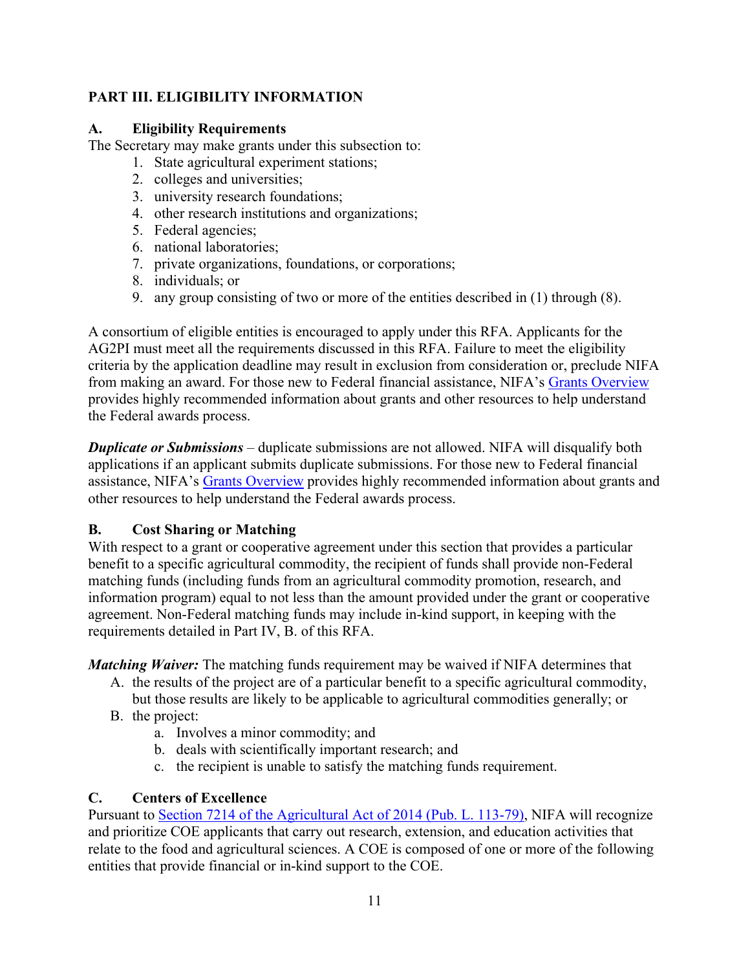# <span id="page-10-0"></span>**PART III. ELIGIBILITY INFORMATION**

## <span id="page-10-1"></span>**A. Eligibility Requirements**

The Secretary may make grants under this subsection to:

- 1. State agricultural experiment stations;
- 2. colleges and universities;
- 3. university research foundations;
- 4. other research institutions and organizations;
- 5. Federal agencies;
- 6. national laboratories;
- 7. private organizations, foundations, or corporations;
- 8. individuals; or
- 9. any group consisting of two or more of the entities described in (1) through (8).

A consortium of eligible entities is encouraged to apply under this RFA. Applicants for the AG2PI must meet all the requirements discussed in this RFA. Failure to meet the eligibility criteria by the application deadline may result in exclusion from consideration or, preclude NIFA from making an award. For those new to Federal financial assistance, NIFA's [Grants Overview](https://nifa.usda.gov/resource/grants-overview) provides highly recommended information about grants and other resources to help understand the Federal awards process.

*Duplicate or Submissions* – duplicate submissions are not allowed. NIFA will disqualify both applications if an applicant submits duplicate submissions. For those new to Federal financial assistance, NIFA's [Grants Overview](https://nifa.usda.gov/resource/grants-overview) provides highly recommended information about grants and other resources to help understand the Federal awards process.

# <span id="page-10-2"></span>**B. Cost Sharing or Matching**

With respect to a grant or cooperative agreement under this section that provides a particular benefit to a specific agricultural commodity, the recipient of funds shall provide non-Federal matching funds (including funds from an agricultural commodity promotion, research, and information program) equal to not less than the amount provided under the grant or cooperative agreement. Non-Federal matching funds may include in-kind support, in keeping with the requirements detailed in Part IV, B. of this RFA.

*Matching Waiver:* The matching funds requirement may be waived if NIFA determines that

- A. the results of the project are of a particular benefit to a specific agricultural commodity, but those results are likely to be applicable to agricultural commodities generally; or
- B. the project:
	- a. Involves a minor commodity; and
	- b. deals with scientifically important research; and
	- c. the recipient is unable to satisfy the matching funds requirement.

# <span id="page-10-3"></span>**C. Centers of Excellence**

Pursuant to [Section 7214 of the Agricultural Act of 2014 \(Pub. L. 113-79\),](https://www.govinfo.gov/content/pkg/PLAW-113publ79/html/PLAW-113publ79.htm) NIFA will recognize and prioritize COE applicants that carry out research, extension, and education activities that relate to the food and agricultural sciences. A COE is composed of one or more of the following entities that provide financial or in-kind support to the COE.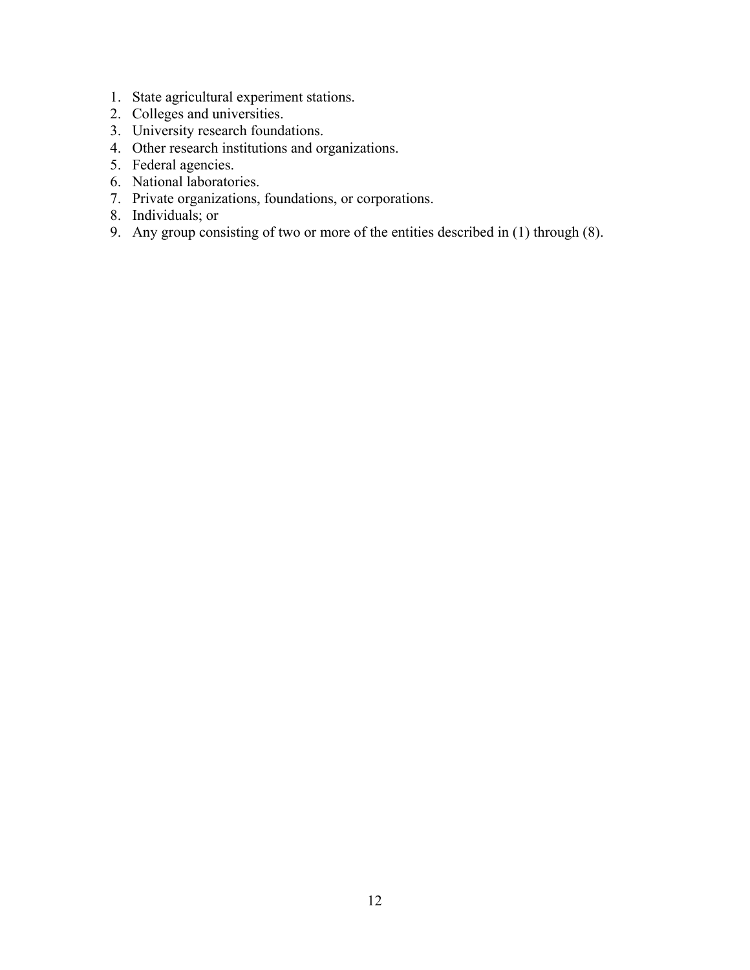- 1. State agricultural experiment stations.
- 2. Colleges and universities.
- 3. University research foundations.
- 4. Other research institutions and organizations.
- 5. Federal agencies.
- 6. National laboratories.
- 7. Private organizations, foundations, or corporations.
- 8. Individuals; or
- 9. Any group consisting of two or more of the entities described in (1) through (8).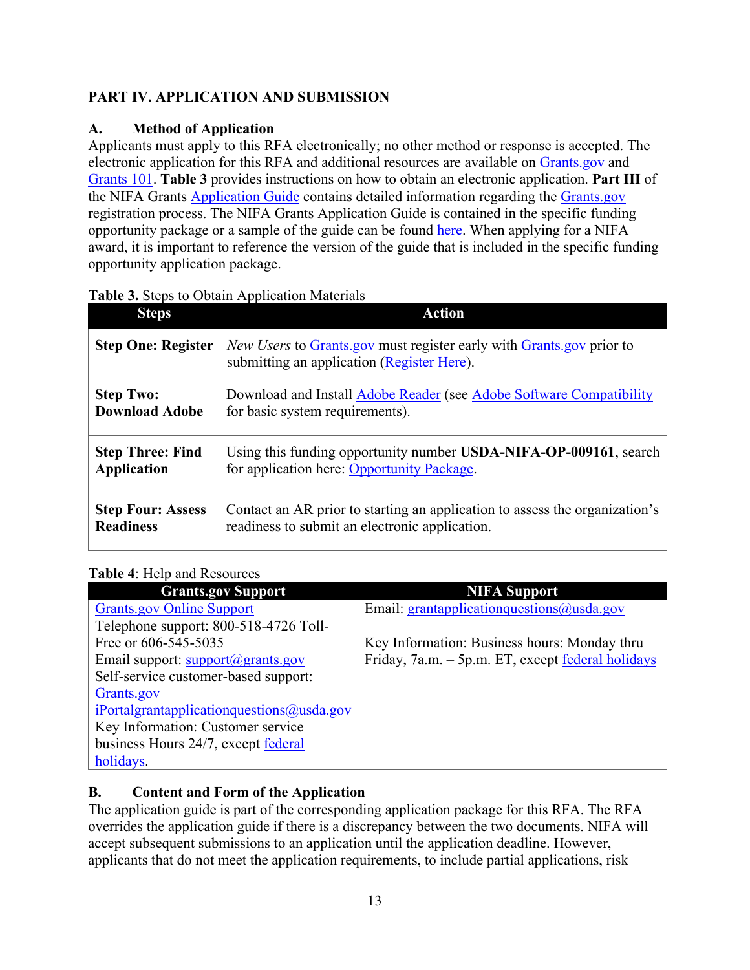# <span id="page-12-0"></span>**PART IV. APPLICATION AND SUBMISSION**

# <span id="page-12-1"></span>**A. Method of Application**

Applicants must apply to this RFA electronically; no other method or response is accepted. The electronic application for this RFA and additional resources are available on [Grants.gov](https://www.grants.gov/) and [Grants 101.](https://www.grants.gov/web/grants/learn-grants/grants-101/pre-award-phase.html/) **Table 3** provides instructions on how to obtain an electronic application. **Part III** of the NIFA Grants [Application Guide](https://nifa.usda.gov/resource/nifa-grantsgov-application-guide) contains detailed information regarding the [Grants.gov](https://www.grants.gov/) registration process. The NIFA Grants Application Guide is contained in the specific funding opportunity package or a sample of the guide can be found [here.](https://nifa.usda.gov/resource/nifa-grantsgov-application-guide) When applying for a NIFA award, it is important to reference the version of the guide that is included in the specific funding opportunity application package.

| <b>Steps</b>              | <b>Action</b>                                                                                                      |
|---------------------------|--------------------------------------------------------------------------------------------------------------------|
| <b>Step One: Register</b> | New Users to Grants.gov must register early with Grants.gov prior to<br>submitting an application (Register Here). |
| <b>Step Two:</b>          | Download and Install Adobe Reader (see Adobe Software Compatibility                                                |
| <b>Download Adobe</b>     | for basic system requirements).                                                                                    |
| <b>Step Three: Find</b>   | Using this funding opportunity number USDA-NIFA-OP-009161, search                                                  |
| <b>Application</b>        | for application here: Opportunity Package.                                                                         |
| <b>Step Four: Assess</b>  | Contact an AR prior to starting an application to assess the organization's                                        |
| <b>Readiness</b>          | readiness to submit an electronic application.                                                                     |

# <span id="page-12-3"></span>**Table 3.** Steps to Obtain Application Materials

# <span id="page-12-4"></span>**Table 4**: Help and Resources

| <b>Grants.gov Support</b>                           | <b>NIFA Support</b>                               |
|-----------------------------------------------------|---------------------------------------------------|
| <b>Grants.gov Online Support</b>                    | Email: grantapplicationquestions@usda.gov         |
| Telephone support: 800-518-4726 Toll-               |                                                   |
| Free or 606-545-5035                                | Key Information: Business hours: Monday thru      |
| Email support: $support(\mathcal{Q})$ grants.gov    | Friday, 7a.m. - 5p.m. ET, except federal holidays |
| Self-service customer-based support:                |                                                   |
| Grants.gov                                          |                                                   |
| $i$ Portalgrantapplication questions $(a)$ usda.gov |                                                   |
| Key Information: Customer service                   |                                                   |
| business Hours 24/7, except federal                 |                                                   |
| holidays.                                           |                                                   |

# <span id="page-12-2"></span>**B. Content and Form of the Application**

The application guide is part of the corresponding application package for this RFA. The RFA overrides the application guide if there is a discrepancy between the two documents. NIFA will accept subsequent submissions to an application until the application deadline. However, applicants that do not meet the application requirements, to include partial applications, risk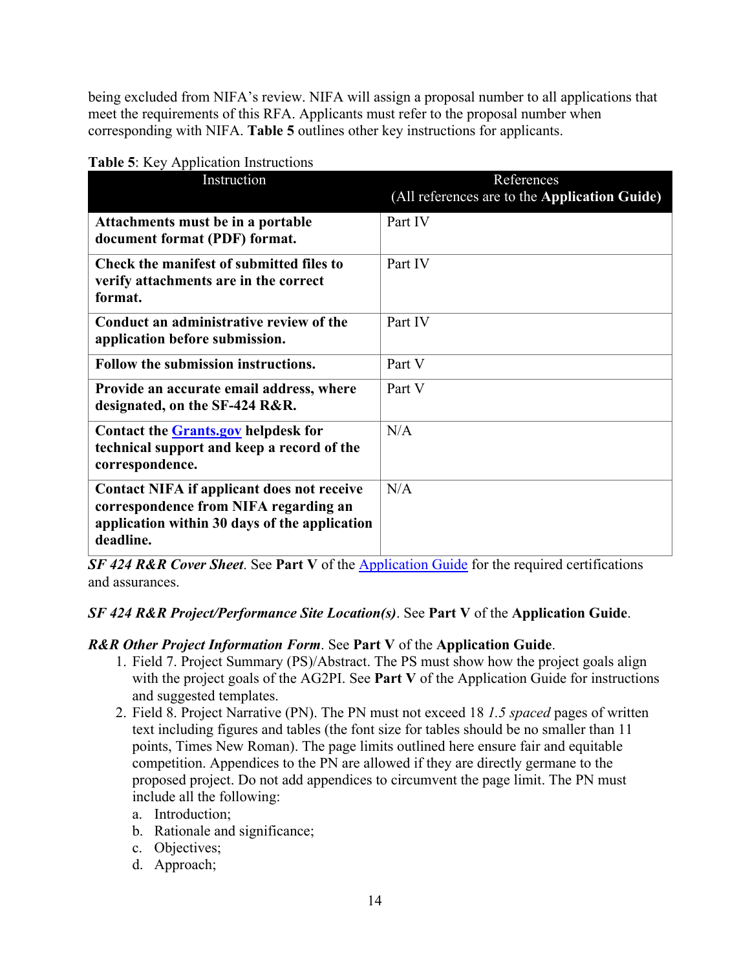being excluded from NIFA's review. NIFA will assign a proposal number to all applications that meet the requirements of this RFA. Applicants must refer to the proposal number when corresponding with NIFA. **Table 5** outlines other key instructions for applicants.

| <b>raone</b> of ixey repplication moderations                                                                                                     |                                                             |
|---------------------------------------------------------------------------------------------------------------------------------------------------|-------------------------------------------------------------|
| Instruction                                                                                                                                       | References<br>(All references are to the Application Guide) |
| Attachments must be in a portable<br>document format (PDF) format.                                                                                | Part IV                                                     |
| Check the manifest of submitted files to<br>verify attachments are in the correct<br>format.                                                      | Part IV                                                     |
| Conduct an administrative review of the<br>application before submission.                                                                         | Part IV                                                     |
| Follow the submission instructions.                                                                                                               | Part V                                                      |
| Provide an accurate email address, where<br>designated, on the SF-424 R&R.                                                                        | Part V                                                      |
| Contact the Grants.gov helpdesk for<br>technical support and keep a record of the<br>correspondence.                                              | N/A                                                         |
| Contact NIFA if applicant does not receive<br>correspondence from NIFA regarding an<br>application within 30 days of the application<br>deadline. | N/A                                                         |

#### <span id="page-13-0"></span>**Table 5**: Key Application Instructions

*SF 424 R&R Cover Sheet*. See **Part V** of the [Application Guide](https://nifa.usda.gov/resource/nifa-grantsgov-application-guide) for the required certifications and assurances.

#### *SF 424 R&R Project/Performance Site Location(s)*. See **Part V** of the **Application Guide**.

#### *R&R Other Project Information Form*. See **Part V** of the **Application Guide**.

- 1. Field 7. Project Summary (PS)/Abstract. The PS must show how the project goals align with the project goals of the AG2PI. See **Part V** of the Application Guide for instructions and suggested templates.
- 2. Field 8. Project Narrative (PN). The PN must not exceed 18 *1.5 spaced* pages of written text including figures and tables (the font size for tables should be no smaller than 11 points, Times New Roman). The page limits outlined here ensure fair and equitable competition. Appendices to the PN are allowed if they are directly germane to the proposed project. Do not add appendices to circumvent the page limit. The PN must include all the following:
	- a. Introduction;
	- b. Rationale and significance;
	- c. Objectives;
	- d. Approach;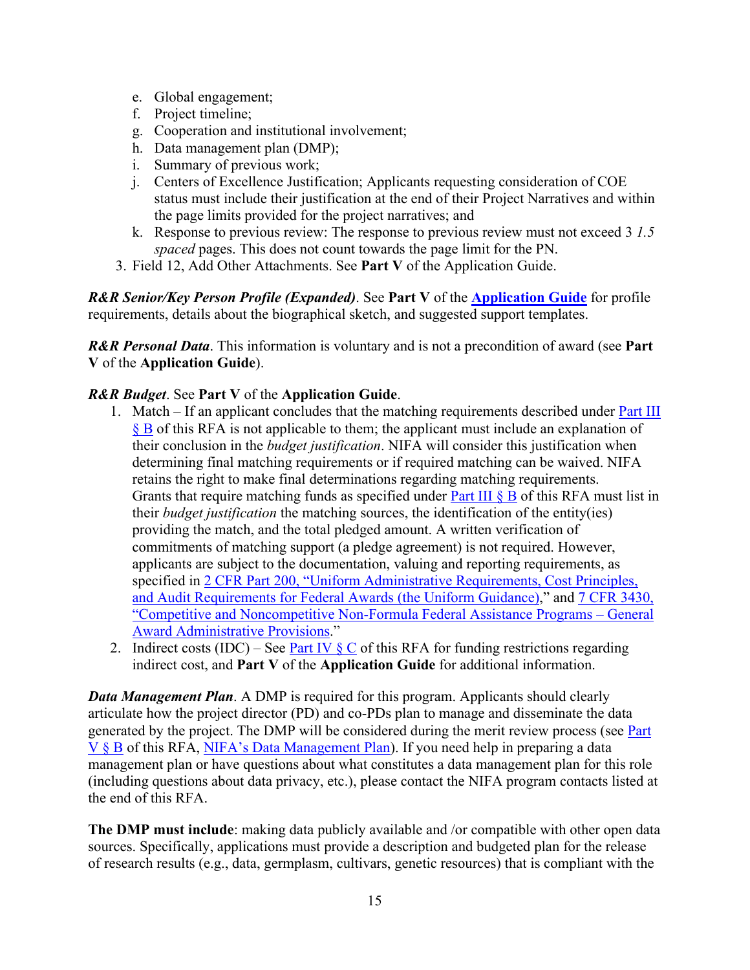- e. Global engagement;
- f. Project timeline;
- g. Cooperation and institutional involvement;
- h. Data management plan (DMP);
- i. Summary of previous work;
- j. Centers of Excellence Justification; Applicants requesting consideration of COE status must include their justification at the end of their Project Narratives and within the page limits provided for the project narratives; and
- k. Response to previous review: The response to previous review must not exceed 3 *1.5 spaced* pages. This does not count towards the page limit for the PN.
- 3. Field 12, Add Other Attachments. See **Part V** of the Application Guide.

*R&R Senior/Key Person Profile (Expanded)*. See **Part V** of the **[Application Guide](https://nifa.usda.gov/resource/nifa-grantsgov-application-guide)** for profile requirements, details about the biographical sketch, and suggested support templates.

*R&R Personal Data*. This information is voluntary and is not a precondition of award (see **Part V** of the **Application Guide**).

#### *R&R Budget*. See **Part V** of the **Application Guide**.

- 1. Match If an applicant concludes that the matching requirements described under [Part III](#page-10-2)  [§ B](#page-10-2) of this RFA is not applicable to them; the applicant must include an explanation of their conclusion in the *budget justification*. NIFA will consider this justification when determining final matching requirements or if required matching can be waived. NIFA retains the right to make final determinations regarding matching requirements. Grants that require matching funds as specified under Part III  $\S$  B of this RFA must list in their *budget justification* the matching sources, the identification of the entity(ies) providing the match, and the total pledged amount. A written verification of commitments of matching support (a pledge agreement) is not required. However, applicants are subject to the documentation, valuing and reporting requirements, as specified in 2 CFR Part 200, "Uniform Administrative Requirements, Cost Principles, [and Audit Requirements for Federal Awards \(the Uniform Guidance\),](https://www.ecfr.gov/cgi-bin/text-idx?SID=39448527cdd5ebd0a063b91b8b44f0f5&mc=true&node=pt2.1.200&rgn=div5)" and [7 CFR 3430,](https://www.ecfr.gov/cgi-bin/text-idx?SID=1a74011311d649ff6313ca273791b131&mc=true&node=pt7.15.3430&rgn=div5)  ["Competitive and Noncompetitive Non-Formula Federal Assistance Programs – General](https://www.ecfr.gov/cgi-bin/text-idx?SID=1a74011311d649ff6313ca273791b131&mc=true&node=pt7.15.3430&rgn=div5)  [Award Administrative Provisions.](https://www.ecfr.gov/cgi-bin/text-idx?SID=1a74011311d649ff6313ca273791b131&mc=true&node=pt7.15.3430&rgn=div5)"
- 2. Indirect costs (IDC) See Part IV  $\S$  C of this RFA for funding restrictions regarding indirect cost, and **Part V** of the **Application Guide** for additional information.

*Data Management Plan.* A DMP is required for this program. Applicants should clearly articulate how the project director (PD) and co-PDs plan to manage and disseminate the data generated by the project. The DMP will be considered during the merit review process (see [Part](#page-18-0)  [V § B](#page-18-0) of this RFA, [NIFA's Data Management Plan\)](https://nifa.usda.gov/resource/data-management-plan-nifa-funded-research-projects). If you need help in preparing a data management plan or have questions about what constitutes a data management plan for this role (including questions about data privacy, etc.), please contact the NIFA program contacts listed at the end of this RFA.

**The DMP must include**: making data publicly available and /or compatible with other open data sources. Specifically, applications must provide a description and budgeted plan for the release of research results (e.g., data, germplasm, cultivars, genetic resources) that is compliant with the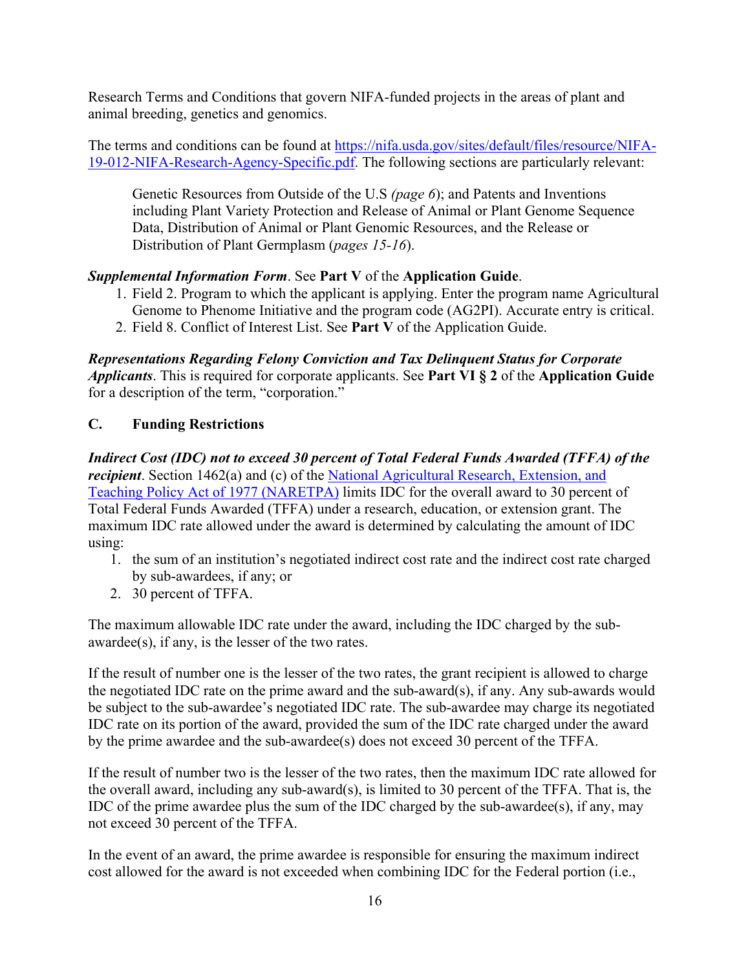Research Terms and Conditions that govern NIFA-funded projects in the areas of plant and animal breeding, genetics and genomics.

The terms and conditions can be found at [https://nifa.usda.gov/sites/default/files/resource/NIFA-](https://nifa.usda.gov/sites/default/files/resource/NIFA-19-012-NIFA-Research-Agency-Specific.pdf)[19-012-NIFA-Research-Agency-Specific.pdf.](https://nifa.usda.gov/sites/default/files/resource/NIFA-19-012-NIFA-Research-Agency-Specific.pdf) The following sections are particularly relevant:

Genetic Resources from Outside of the U.S *(page 6*); and Patents and Inventions including Plant Variety Protection and Release of Animal or Plant Genome Sequence Data, Distribution of Animal or Plant Genomic Resources, and the Release or Distribution of Plant Germplasm (*pages 15-16*).

## *Supplemental Information Form*. See **Part V** of the **Application Guide**.

- 1. Field 2. Program to which the applicant is applying. Enter the program name Agricultural Genome to Phenome Initiative and the program code (AG2PI). Accurate entry is critical.
- 2. Field 8. Conflict of Interest List. See **Part V** of the Application Guide.

*Representations Regarding Felony Conviction and Tax Delinquent Status for Corporate Applicants*. This is required for corporate applicants. See **Part VI § 2** of the **Application Guide** for a description of the term, "corporation."

#### <span id="page-15-0"></span>**C. Funding Restrictions**

*Indirect Cost (IDC) not to exceed 30 percent of Total Federal Funds Awarded (TFFA) of the recipient*. Section 1462(a) and (c) of the National Agricultural Research, Extension, and [Teaching Policy Act of 1977 \(NARETPA\)](https://nifa.usda.gov/sites/default/files/resource/nar77.pdf) limits IDC for the overall award to 30 percent of Total Federal Funds Awarded (TFFA) under a research, education, or extension grant. The maximum IDC rate allowed under the award is determined by calculating the amount of IDC using:

- 1. the sum of an institution's negotiated indirect cost rate and the indirect cost rate charged by sub-awardees, if any; or
- 2. 30 percent of TFFA.

The maximum allowable IDC rate under the award, including the IDC charged by the subawardee(s), if any, is the lesser of the two rates.

If the result of number one is the lesser of the two rates, the grant recipient is allowed to charge the negotiated IDC rate on the prime award and the sub-award(s), if any. Any sub-awards would be subject to the sub-awardee's negotiated IDC rate. The sub-awardee may charge its negotiated IDC rate on its portion of the award, provided the sum of the IDC rate charged under the award by the prime awardee and the sub-awardee(s) does not exceed 30 percent of the TFFA.

If the result of number two is the lesser of the two rates, then the maximum IDC rate allowed for the overall award, including any sub-award(s), is limited to 30 percent of the TFFA. That is, the IDC of the prime awardee plus the sum of the IDC charged by the sub-awardee(s), if any, may not exceed 30 percent of the TFFA.

In the event of an award, the prime awardee is responsible for ensuring the maximum indirect cost allowed for the award is not exceeded when combining IDC for the Federal portion (i.e.,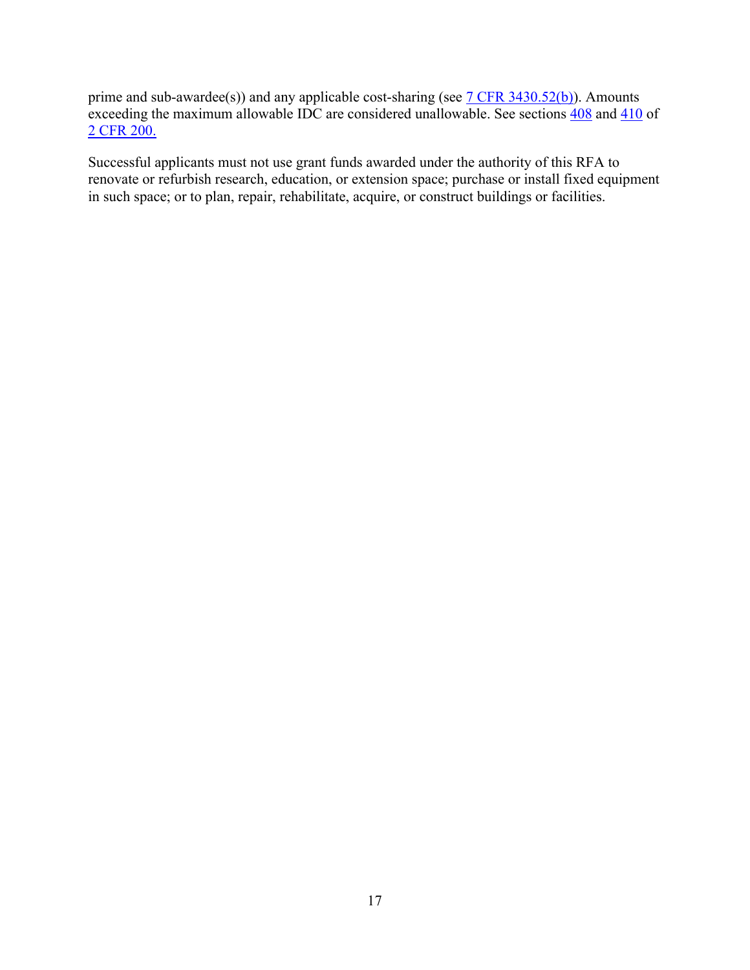prime and sub-awardee(s)) and any applicable cost-sharing (see  $7$  CFR 3430.52(b)). Amounts exceeding the maximum allowable IDC are considered unallowable. See sections [408](https://www.ecfr.gov/cgi-bin/text-idx?SID=99b0d2f1cf782a71783f992ece47bb5a&mc=true&node=pt2.1.200&rgn=div5#se2.1.200_1408) and [410](https://www.ecfr.gov/cgi-bin/text-idx?SID=99b0d2f1cf782a71783f992ece47bb5a&mc=true&node=pt2.1.200&rgn=div5#se2.1.200_1410) of [2 CFR 200.](https://www.ecfr.gov/cgi-bin/text-idx?SID=99b0d2f1cf782a71783f992ece47bb5a&mc=true&node=pt2.1.200&rgn=div5) 

Successful applicants must not use grant funds awarded under the authority of this RFA to renovate or refurbish research, education, or extension space; purchase or install fixed equipment in such space; or to plan, repair, rehabilitate, acquire, or construct buildings or facilities.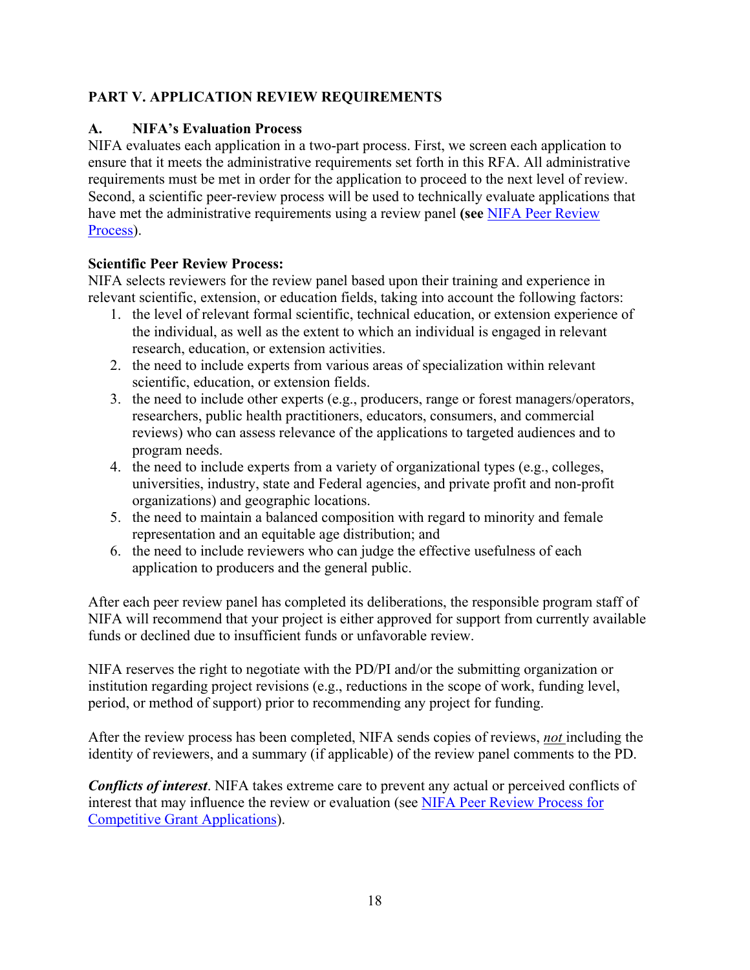# <span id="page-17-0"></span>**PART V. APPLICATION REVIEW REQUIREMENTS**

## <span id="page-17-1"></span>**A. NIFA's Evaluation Process**

NIFA evaluates each application in a two-part process. First, we screen each application to ensure that it meets the administrative requirements set forth in this RFA. All administrative requirements must be met in order for the application to proceed to the next level of review. Second, a scientific peer-review process will be used to technically evaluate applications that have met the administrative requirements using a review panel **(see** [NIFA Peer Review](https://nifa.usda.gov/sites/default/files/resource/NIFA-Peer-Review-Process-for-Competitive-Grant-Applications_0.pdf)  [Process\)](https://nifa.usda.gov/sites/default/files/resource/NIFA-Peer-Review-Process-for-Competitive-Grant-Applications_0.pdf).

#### **Scientific Peer Review Process:**

NIFA selects reviewers for the review panel based upon their training and experience in relevant scientific, extension, or education fields, taking into account the following factors:

- 1. the level of relevant formal scientific, technical education, or extension experience of the individual, as well as the extent to which an individual is engaged in relevant research, education, or extension activities.
- 2. the need to include experts from various areas of specialization within relevant scientific, education, or extension fields.
- 3. the need to include other experts (e.g., producers, range or forest managers/operators, researchers, public health practitioners, educators, consumers, and commercial reviews) who can assess relevance of the applications to targeted audiences and to program needs.
- 4. the need to include experts from a variety of organizational types (e.g., colleges, universities, industry, state and Federal agencies, and private profit and non-profit organizations) and geographic locations.
- 5. the need to maintain a balanced composition with regard to minority and female representation and an equitable age distribution; and
- 6. the need to include reviewers who can judge the effective usefulness of each application to producers and the general public.

After each peer review panel has completed its deliberations, the responsible program staff of NIFA will recommend that your project is either approved for support from currently available funds or declined due to insufficient funds or unfavorable review.

NIFA reserves the right to negotiate with the PD/PI and/or the submitting organization or institution regarding project revisions (e.g., reductions in the scope of work, funding level, period, or method of support) prior to recommending any project for funding.

After the review process has been completed, NIFA sends copies of reviews, *not* including the identity of reviewers, and a summary (if applicable) of the review panel comments to the PD.

*Conflicts of interest*. NIFA takes extreme care to prevent any actual or perceived conflicts of interest that may influence the review or evaluation (see [NIFA Peer Review Process for](https://nifa.usda.gov/resource/nifa-peer-review-process-competitive-grant-applications)  [Competitive Grant Applications\)](https://nifa.usda.gov/resource/nifa-peer-review-process-competitive-grant-applications).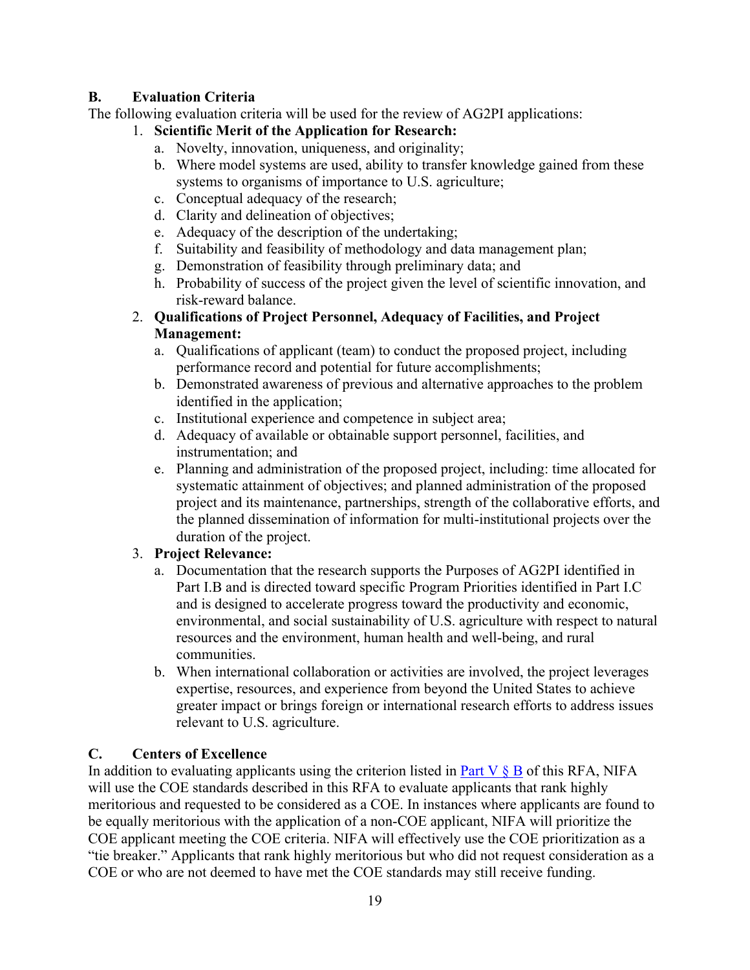# <span id="page-18-0"></span>**B. Evaluation Criteria**

The following evaluation criteria will be used for the review of AG2PI applications:

# 1. **Scientific Merit of the Application for Research:**

- a. Novelty, innovation, uniqueness, and originality;
- b. Where model systems are used, ability to transfer knowledge gained from these systems to organisms of importance to U.S. agriculture;
- c. Conceptual adequacy of the research;
- d. Clarity and delineation of objectives;
- e. Adequacy of the description of the undertaking;
- f. Suitability and feasibility of methodology and data management plan;
- g. Demonstration of feasibility through preliminary data; and
- h. Probability of success of the project given the level of scientific innovation, and risk-reward balance.
- 2. **Qualifications of Project Personnel, Adequacy of Facilities, and Project Management:** 
	- a. Qualifications of applicant (team) to conduct the proposed project, including performance record and potential for future accomplishments;
	- b. Demonstrated awareness of previous and alternative approaches to the problem identified in the application;
	- c. Institutional experience and competence in subject area;
	- d. Adequacy of available or obtainable support personnel, facilities, and instrumentation; and
	- e. Planning and administration of the proposed project, including: time allocated for systematic attainment of objectives; and planned administration of the proposed project and its maintenance, partnerships, strength of the collaborative efforts, and the planned dissemination of information for multi-institutional projects over the duration of the project.

# 3. **Project Relevance:**

- a. Documentation that the research supports the Purposes of AG2PI identified in Part I.B and is directed toward specific Program Priorities identified in Part I.C and is designed to accelerate progress toward the productivity and economic, environmental, and social sustainability of U.S. agriculture with respect to natural resources and the environment, human health and well-being, and rural communities.
- b. When international collaboration or activities are involved, the project leverages expertise, resources, and experience from beyond the United States to achieve greater impact or brings foreign or international research efforts to address issues relevant to U.S. agriculture.

# <span id="page-18-1"></span>**C. Centers of Excellence**

In addition to evaluating applicants using the criterion listed in Part V  $\S$  B of this RFA, NIFA will use the COE standards described in this RFA to evaluate applicants that rank highly meritorious and requested to be considered as a COE. In instances where applicants are found to be equally meritorious with the application of a non-COE applicant, NIFA will prioritize the COE applicant meeting the COE criteria. NIFA will effectively use the COE prioritization as a "tie breaker." Applicants that rank highly meritorious but who did not request consideration as a COE or who are not deemed to have met the COE standards may still receive funding.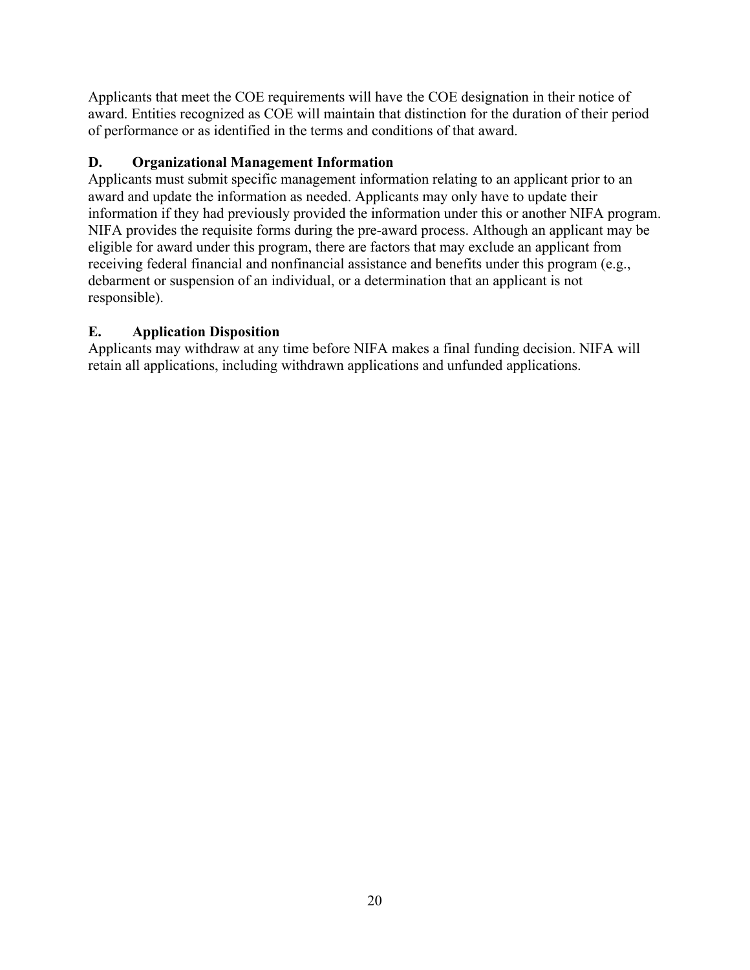Applicants that meet the COE requirements will have the COE designation in their notice of award. Entities recognized as COE will maintain that distinction for the duration of their period of performance or as identified in the terms and conditions of that award.

## <span id="page-19-0"></span>**D. Organizational Management Information**

Applicants must submit specific management information relating to an applicant prior to an award and update the information as needed. Applicants may only have to update their information if they had previously provided the information under this or another NIFA program. NIFA provides the requisite forms during the pre-award process. Although an applicant may be eligible for award under this program, there are factors that may exclude an applicant from receiving federal financial and nonfinancial assistance and benefits under this program (e.g., debarment or suspension of an individual, or a determination that an applicant is not responsible).

## <span id="page-19-1"></span>**E. Application Disposition**

Applicants may withdraw at any time before NIFA makes a final funding decision. NIFA will retain all applications, including withdrawn applications and unfunded applications.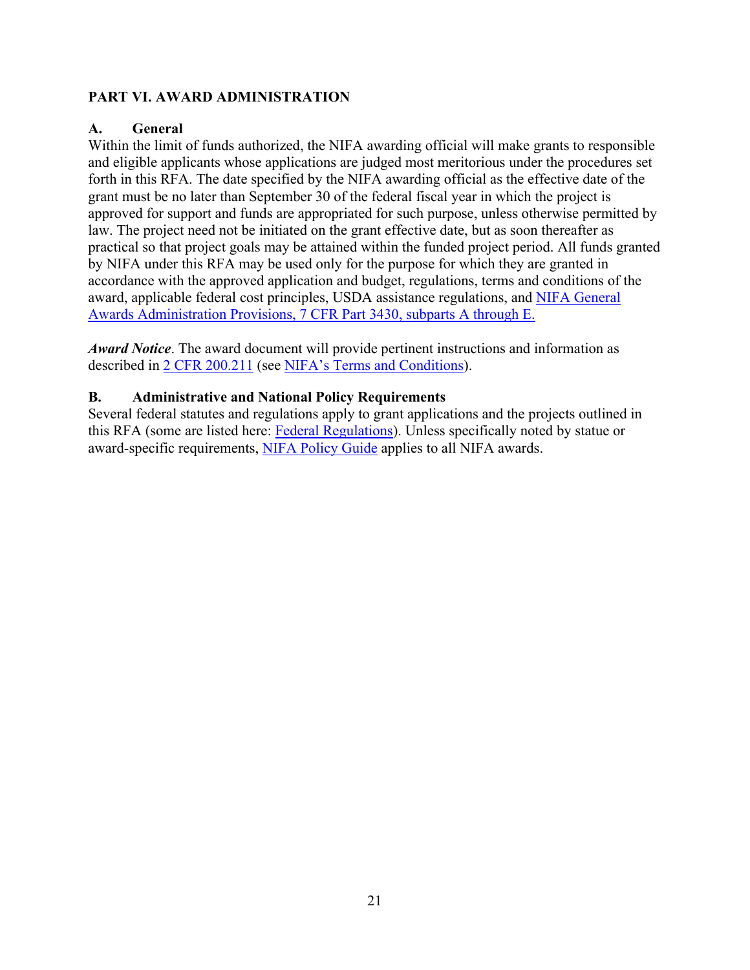#### <span id="page-20-0"></span>**PART VI. AWARD ADMINISTRATION**

#### <span id="page-20-1"></span>**A. General**

Within the limit of funds authorized, the NIFA awarding official will make grants to responsible and eligible applicants whose applications are judged most meritorious under the procedures set forth in this RFA. The date specified by the NIFA awarding official as the effective date of the grant must be no later than September 30 of the federal fiscal year in which the project is approved for support and funds are appropriated for such purpose, unless otherwise permitted by law. The project need not be initiated on the grant effective date, but as soon thereafter as practical so that project goals may be attained within the funded project period. All funds granted by NIFA under this RFA may be used only for the purpose for which they are granted in accordance with the approved application and budget, regulations, terms and conditions of the award, applicable federal cost principles, USDA assistance regulations, and [NIFA General](https://www.ecfr.gov/cgi-bin/text-idx?SID=1a74011311d649ff6313ca273791b131&mc=true&node=pt7.15.3430&rgn=div5)  [Awards Administration Provisions, 7 CFR Part 3430, subparts A through E.](https://www.ecfr.gov/cgi-bin/text-idx?SID=1a74011311d649ff6313ca273791b131&mc=true&node=pt7.15.3430&rgn=div5)

*Award Notice*. The award document will provide pertinent instructions and information as described in [2 CFR 200.211](https://www.ecfr.gov/cgi-bin/retrieveECFR?gp=&SID=c44a1f8f16917d78ba5ba676eac5fdc3&mc=true&r=SECTION&n=se2.1.200_1211) (see [NIFA's Terms and Conditions\)](https://nifa.usda.gov/terms-and-conditions).

#### <span id="page-20-2"></span>**B. Administrative and National Policy Requirements**

Several federal statutes and regulations apply to grant applications and the projects outlined in this RFA (some are listed here: [Federal Regulations\)](https://nifa.usda.gov/federal-regulations). Unless specifically noted by statue or award-specific requirements, [NIFA Policy Guide](https://nifa.usda.gov/policy-guide) applies to all NIFA awards.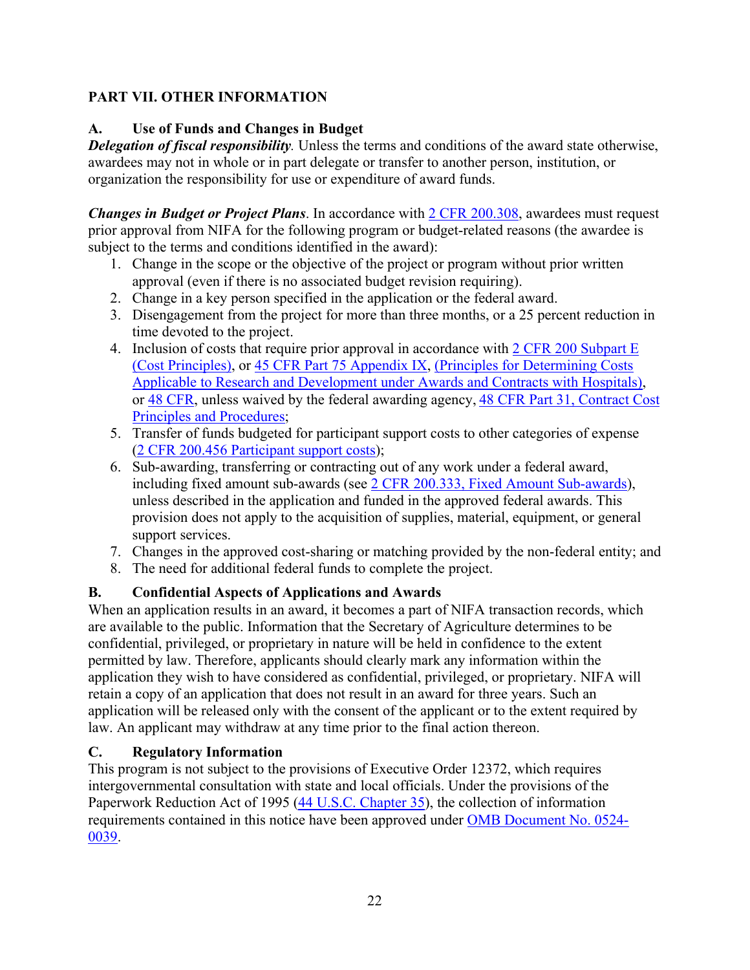# <span id="page-21-0"></span>**PART VII. OTHER INFORMATION**

# <span id="page-21-1"></span>**A. Use of Funds and Changes in Budget**

*Delegation of fiscal responsibility.* Unless the terms and conditions of the award state otherwise, awardees may not in whole or in part delegate or transfer to another person, institution, or organization the responsibility for use or expenditure of award funds.

*Changes in Budget or Project Plans*. In accordance with [2 CFR 200.308,](https://www.ecfr.gov/cgi-bin/text-idx?SID=3af89506559b05297e7d0334cb283e24&mc=true&node=se2.1.200_1308&rgn=div8) awardees must request prior approval from NIFA for the following program or budget-related reasons (the awardee is subject to the terms and conditions identified in the award):

- 1. Change in the scope or the objective of the project or program without prior written approval (even if there is no associated budget revision requiring).
- 2. Change in a key person specified in the application or the federal award.
- 3. Disengagement from the project for more than three months, or a 25 percent reduction in time devoted to the project.
- 4. Inclusion of costs that require prior approval in accordance with [2 CFR 200 Subpart E](https://www.ecfr.gov/cgi-bin/text-idx?SID=dc069d42776cd3451f66232d56026057&mc=true&node=pt2.1.200&rgn=div5#sp2.1.200.e) [\(Cost Principles\),](https://www.ecfr.gov/cgi-bin/text-idx?SID=dc069d42776cd3451f66232d56026057&mc=true&node=pt2.1.200&rgn=div5#sp2.1.200.e) or [45 CFR Part 75 Appendix IX,](https://www.ecfr.gov/cgi-bin/text-idx?node=pt45.1.75#ap45.1.75_1521.ix) [\(Principles for Determining Costs](https://www.ecfr.gov/cgi-bin/text-idx?node=pt45.1.75#ap45.1.75_1521.ix)  [Applicable to Research and Development under Awards and Contracts with Hospitals\)](https://www.ecfr.gov/cgi-bin/text-idx?node=pt45.1.75#ap45.1.75_1521.ix), or [48 CFR,](https://www.ecfr.gov/cgi-bin/text-idx?SID=4d9d83a5cef52c19c5ff83421fa48a4b&mc=true&tpl=/ecfrbrowse/Title48/48tab_02.tpl) unless waived by the federal awarding agency, [48 CFR Part 31, Contract Cost](https://www.ecfr.gov/cgi-bin/text-idx?SID=4d9d83a5cef52c19c5ff83421fa48a4b&mc=true&node=pt48.1.31&rgn=div5)  [Principles and Procedures;](https://www.ecfr.gov/cgi-bin/text-idx?SID=4d9d83a5cef52c19c5ff83421fa48a4b&mc=true&node=pt48.1.31&rgn=div5)
- 5. Transfer of funds budgeted for participant support costs to other categories of expense [\(2 CFR 200.456 Participant support costs\)](https://www.ecfr.gov/cgi-bin/text-idx?SID=875f7422535a157681c65d5ff44deb32&mc=true&node=pt2.1.200&rgn=div5#se2.1.200_1456);
- 6. Sub-awarding, transferring or contracting out of any work under a federal award, including fixed amount sub-awards (see [2 CFR 200.333, Fixed Amount Sub-awards\)](https://www.ecfr.gov/cgi-bin/text-idx?SID=9eaf9554e1f32bf0d83aca55646e9b7e&mc=true&node=pt2.1.200&rgn=div5#se2.1.200_1333), unless described in the application and funded in the approved federal awards. This provision does not apply to the acquisition of supplies, material, equipment, or general support services.
- 7. Changes in the approved cost-sharing or matching provided by the non-federal entity; and
- 8. The need for additional federal funds to complete the project.

# <span id="page-21-2"></span>**B. Confidential Aspects of Applications and Awards**

When an application results in an award, it becomes a part of NIFA transaction records, which are available to the public. Information that the Secretary of Agriculture determines to be confidential, privileged, or proprietary in nature will be held in confidence to the extent permitted by law. Therefore, applicants should clearly mark any information within the application they wish to have considered as confidential, privileged, or proprietary. NIFA will retain a copy of an application that does not result in an award for three years. Such an application will be released only with the consent of the applicant or to the extent required by law. An applicant may withdraw at any time prior to the final action thereon.

#### <span id="page-21-3"></span>**C. Regulatory Information**

This program is not subject to the provisions of [Executive Order 12372,](https://www.fws.gov/policy/library/rgeo12372.pdf) which requires intergovernmental consultation with state and local officials. Under the provisions of the [Paperwork Reduction Act of 1995](https://www.reginfo.gov/public/reginfo/pra.pdf) [\(44 U.S.C. Chapter 35\)](http://uscode.house.gov/view.xhtml?path=/prelim@title44/chapter35&edition=prelim), the collection of information requirements contained in this notice have been approved under [OMB Document No. 0524-](https://www.federalregister.gov/documents/2018/10/29/2018-23552/submission-for-omb-review-comment-request) [0039.](https://www.federalregister.gov/documents/2018/10/29/2018-23552/submission-for-omb-review-comment-request)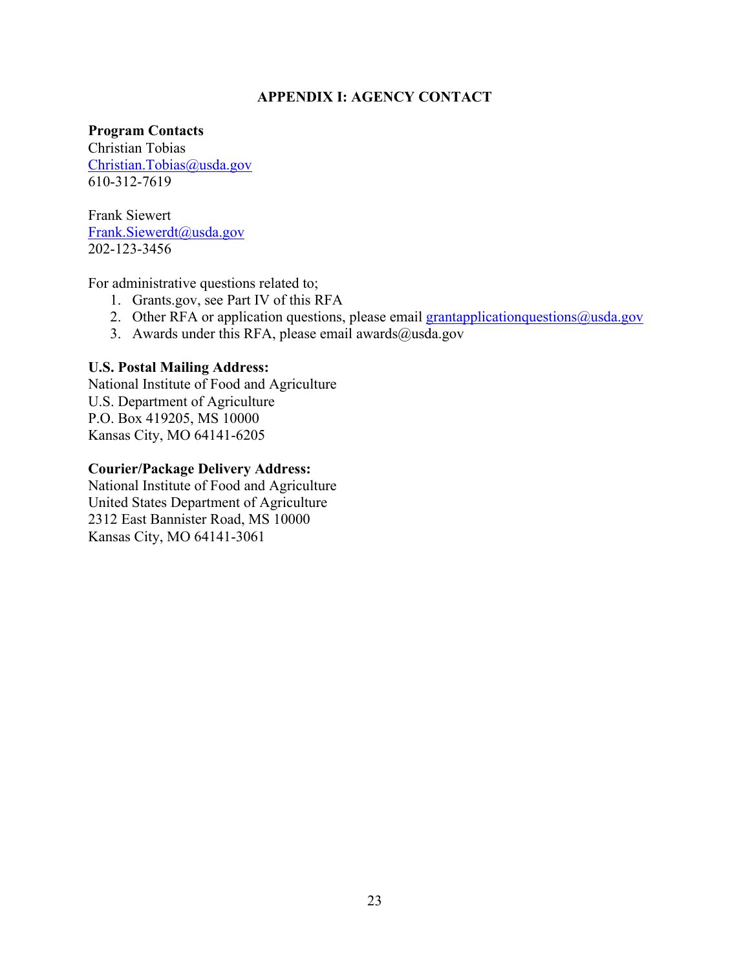#### **APPENDIX I: AGENCY CONTACT**

<span id="page-22-0"></span>**Program Contacts** 

Christian Tobias Christian.Tobias@usda.gov 610-312-7619

Frank Siewert [Frank.Siewerdt@usda.gov](mailto:Frank.Siewerdt@usda.gov) 202-123-3456

For administrative questions related to;

- 1. Grants.gov, see Part IV of this RFA
- 2. Other RFA or application questions, please email  $grant application questions@usda.gov$
- 3. Awards under this RFA, please email awards $@$ usda.gov

#### **U.S. Postal Mailing Address:**

National Institute of Food and Agriculture U.S. Department of Agriculture P.O. Box 419205, MS 10000 Kansas City, MO 64141-6205

#### **Courier/Package Delivery Address:**

National Institute of Food and Agriculture United States Department of Agriculture 2312 East Bannister Road, MS 10000 Kansas City, MO 64141-3061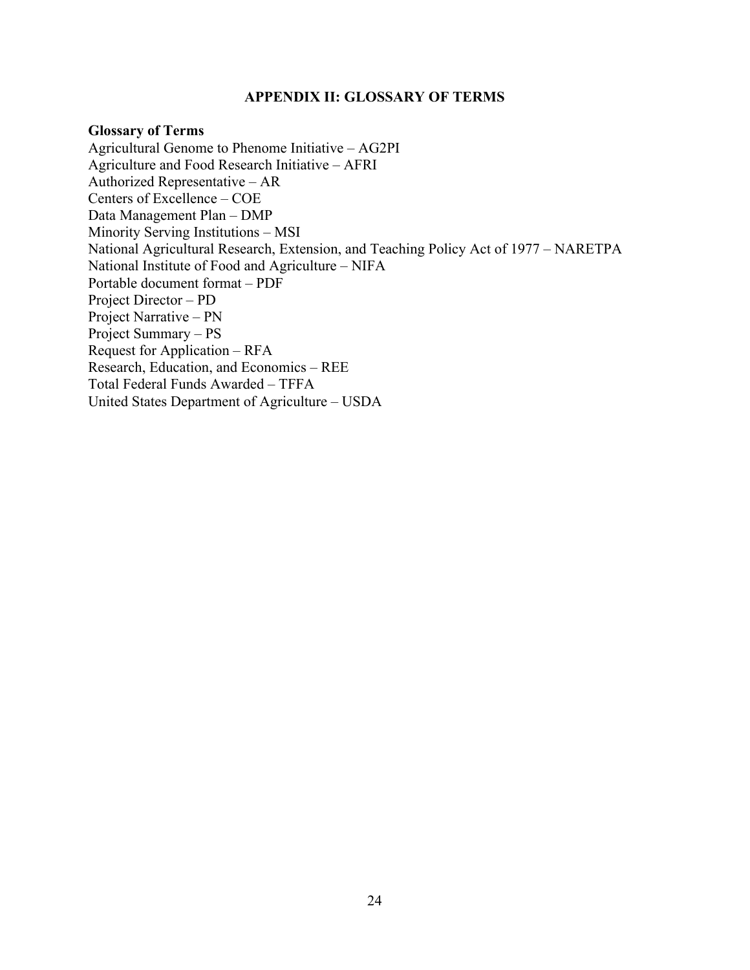#### **APPENDIX II: GLOSSARY OF TERMS**

#### <span id="page-23-0"></span>**Glossary of Terms**

Agricultural Genome to Phenome Initiative – AG2PI Agriculture and Food Research Initiative – AFRI Authorized Representative – AR Centers of Excellence – COE Data Management Plan – DMP Minority Serving Institutions – MSI National Agricultural Research, Extension, and Teaching Policy Act of 1977 – NARETPA National Institute of Food and Agriculture – NIFA Portable document format – PDF Project Director – PD Project Narrative – PN Project Summary – PS Request for Application – RFA Research, Education, and Economics – REE Total Federal Funds Awarded – TFFA United States Department of Agriculture – USDA